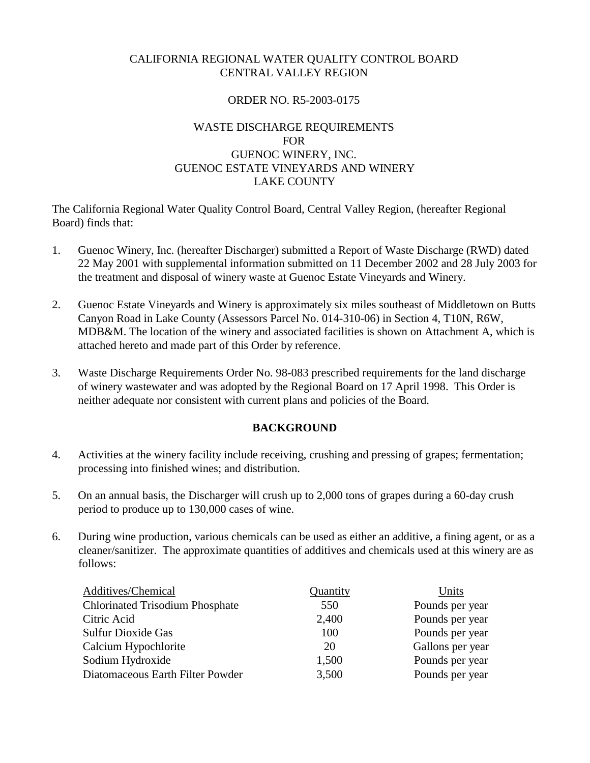## CALIFORNIA REGIONAL WATER QUALITY CONTROL BOARD CENTRAL VALLEY REGION

## ORDER NO. R5-2003-0175

## WASTE DISCHARGE REQUIREMENTS FOR GUENOC WINERY, INC. GUENOC ESTATE VINEYARDS AND WINERY LAKE COUNTY

The California Regional Water Quality Control Board, Central Valley Region, (hereafter Regional Board) finds that:

- 1. Guenoc Winery, Inc. (hereafter Discharger) submitted a Report of Waste Discharge (RWD) dated 22 May 2001 with supplemental information submitted on 11 December 2002 and 28 July 2003 for the treatment and disposal of winery waste at Guenoc Estate Vineyards and Winery.
- 2. Guenoc Estate Vineyards and Winery is approximately six miles southeast of Middletown on Butts Canyon Road in Lake County (Assessors Parcel No. 014-310-06) in Section 4, T10N, R6W, MDB&M. The location of the winery and associated facilities is shown on Attachment A, which is attached hereto and made part of this Order by reference.
- 3. Waste Discharge Requirements Order No. 98-083 prescribed requirements for the land discharge of winery wastewater and was adopted by the Regional Board on 17 April 1998. This Order is neither adequate nor consistent with current plans and policies of the Board.

### **BACKGROUND**

- 4. Activities at the winery facility include receiving, crushing and pressing of grapes; fermentation; processing into finished wines; and distribution.
- 5. On an annual basis, the Discharger will crush up to 2,000 tons of grapes during a 60-day crush period to produce up to 130,000 cases of wine.
- 6. During wine production, various chemicals can be used as either an additive, a fining agent, or as a cleaner/sanitizer. The approximate quantities of additives and chemicals used at this winery are as follows:

| Additives/Chemical                     | Quantity | Units            |
|----------------------------------------|----------|------------------|
| <b>Chlorinated Trisodium Phosphate</b> | 550      | Pounds per year  |
| Citric Acid                            | 2,400    | Pounds per year  |
| <b>Sulfur Dioxide Gas</b>              | 100      | Pounds per year  |
| Calcium Hypochlorite                   | 20       | Gallons per year |
| Sodium Hydroxide                       | 1,500    | Pounds per year  |
| Diatomaceous Earth Filter Powder       | 3,500    | Pounds per year  |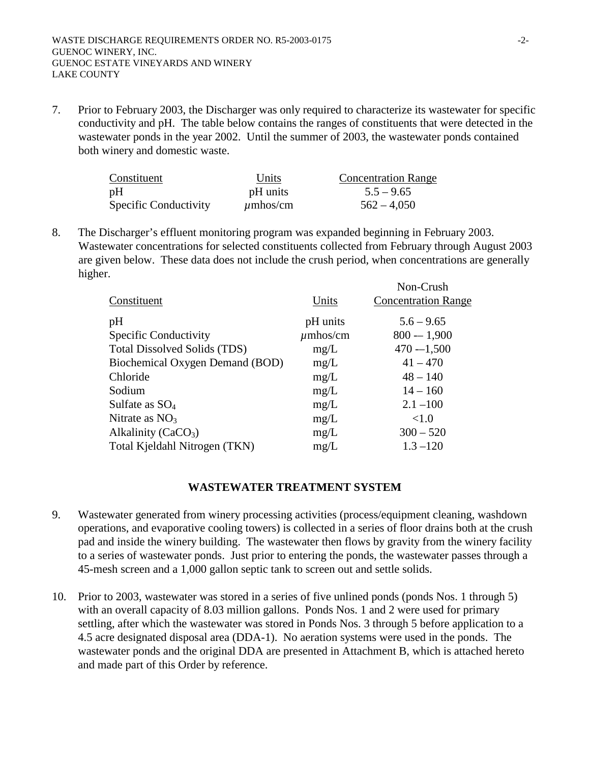7. Prior to February 2003, the Discharger was only required to characterize its wastewater for specific conductivity and pH. The table below contains the ranges of constituents that were detected in the wastewater ponds in the year 2002. Until the summer of 2003, the wastewater ponds contained both winery and domestic waste.

| Constituent                  | Units         | <b>Concentration Range</b> |
|------------------------------|---------------|----------------------------|
| pH                           | pH units      | $5.5 - 9.65$               |
| <b>Specific Conductivity</b> | $\mu$ mhos/cm | $562 - 4.050$              |

8. The Discharger's effluent monitoring program was expanded beginning in February 2003. Wastewater concentrations for selected constituents collected from February through August 2003 are given below. These data does not include the crush period, when concentrations are generally higher. Non-Crush

|                                     |               | <b>INOII-CLUSH</b>         |
|-------------------------------------|---------------|----------------------------|
| Constituent                         | Units         | <b>Concentration Range</b> |
| pH                                  | pH units      | $5.6 - 9.65$               |
| Specific Conductivity               | $\mu$ mhos/cm | $800 - 1,900$              |
| <b>Total Dissolved Solids (TDS)</b> | mg/L          | $470 - 1,500$              |
| Biochemical Oxygen Demand (BOD)     | mg/L          | $41 - 470$                 |
| Chloride                            | mg/L          | $48 - 140$                 |
| Sodium                              | mg/L          | $14 - 160$                 |
| Sulfate as $SO_4$                   | mg/L          | $2.1 - 100$                |
| Nitrate as $NO3$                    | mg/L          | <1.0                       |
| Alkalinity (CaCO <sub>3</sub> )     | mg/L          | $300 - 520$                |
| Total Kjeldahl Nitrogen (TKN)       | mg/L          | $1.3 - 120$                |
|                                     |               |                            |

## **WASTEWATER TREATMENT SYSTEM**

- 9. Wastewater generated from winery processing activities (process/equipment cleaning, washdown operations, and evaporative cooling towers) is collected in a series of floor drains both at the crush pad and inside the winery building. The wastewater then flows by gravity from the winery facility to a series of wastewater ponds. Just prior to entering the ponds, the wastewater passes through a 45-mesh screen and a 1,000 gallon septic tank to screen out and settle solids.
- 10. Prior to 2003, wastewater was stored in a series of five unlined ponds (ponds Nos. 1 through 5) with an overall capacity of 8.03 million gallons. Ponds Nos. 1 and 2 were used for primary settling, after which the wastewater was stored in Ponds Nos. 3 through 5 before application to a 4.5 acre designated disposal area (DDA-1). No aeration systems were used in the ponds. The wastewater ponds and the original DDA are presented in Attachment B, which is attached hereto and made part of this Order by reference.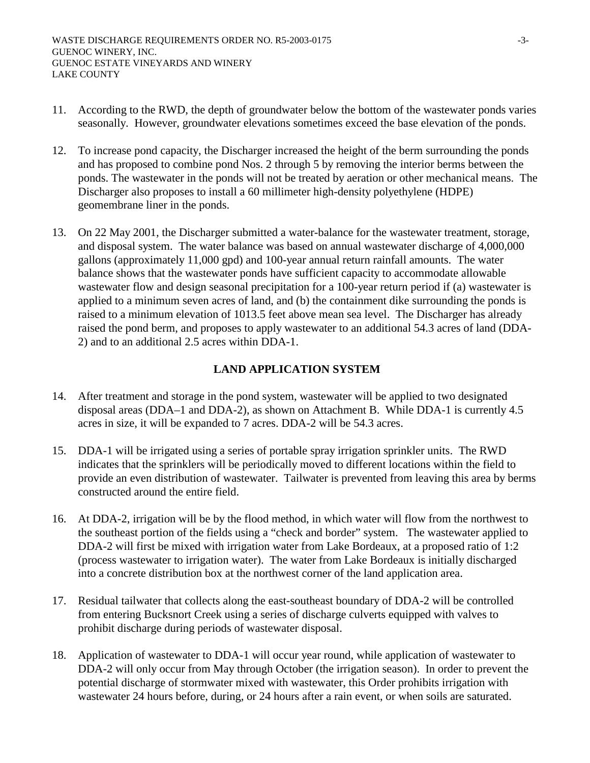- 11. According to the RWD, the depth of groundwater below the bottom of the wastewater ponds varies seasonally. However, groundwater elevations sometimes exceed the base elevation of the ponds.
- 12. To increase pond capacity, the Discharger increased the height of the berm surrounding the ponds and has proposed to combine pond Nos. 2 through 5 by removing the interior berms between the ponds. The wastewater in the ponds will not be treated by aeration or other mechanical means. The Discharger also proposes to install a 60 millimeter high-density polyethylene (HDPE) geomembrane liner in the ponds.
- 13. On 22 May 2001, the Discharger submitted a water-balance for the wastewater treatment, storage, and disposal system. The water balance was based on annual wastewater discharge of 4,000,000 gallons (approximately 11,000 gpd) and 100-year annual return rainfall amounts. The water balance shows that the wastewater ponds have sufficient capacity to accommodate allowable wastewater flow and design seasonal precipitation for a 100-year return period if (a) wastewater is applied to a minimum seven acres of land, and (b) the containment dike surrounding the ponds is raised to a minimum elevation of 1013.5 feet above mean sea level. The Discharger has already raised the pond berm, and proposes to apply wastewater to an additional 54.3 acres of land (DDA-2) and to an additional 2.5 acres within DDA-1.

## **LAND APPLICATION SYSTEM**

- 14. After treatment and storage in the pond system, wastewater will be applied to two designated disposal areas (DDA–1 and DDA-2), as shown on Attachment B. While DDA-1 is currently 4.5 acres in size, it will be expanded to 7 acres. DDA-2 will be 54.3 acres.
- 15. DDA-1 will be irrigated using a series of portable spray irrigation sprinkler units. The RWD indicates that the sprinklers will be periodically moved to different locations within the field to provide an even distribution of wastewater. Tailwater is prevented from leaving this area by berms constructed around the entire field.
- 16. At DDA-2, irrigation will be by the flood method, in which water will flow from the northwest to the southeast portion of the fields using a "check and border" system. The wastewater applied to DDA-2 will first be mixed with irrigation water from Lake Bordeaux, at a proposed ratio of 1:2 (process wastewater to irrigation water). The water from Lake Bordeaux is initially discharged into a concrete distribution box at the northwest corner of the land application area.
- 17. Residual tailwater that collects along the east-southeast boundary of DDA-2 will be controlled from entering Bucksnort Creek using a series of discharge culverts equipped with valves to prohibit discharge during periods of wastewater disposal.
- 18. Application of wastewater to DDA-1 will occur year round, while application of wastewater to DDA-2 will only occur from May through October (the irrigation season). In order to prevent the potential discharge of stormwater mixed with wastewater, this Order prohibits irrigation with wastewater 24 hours before, during, or 24 hours after a rain event, or when soils are saturated.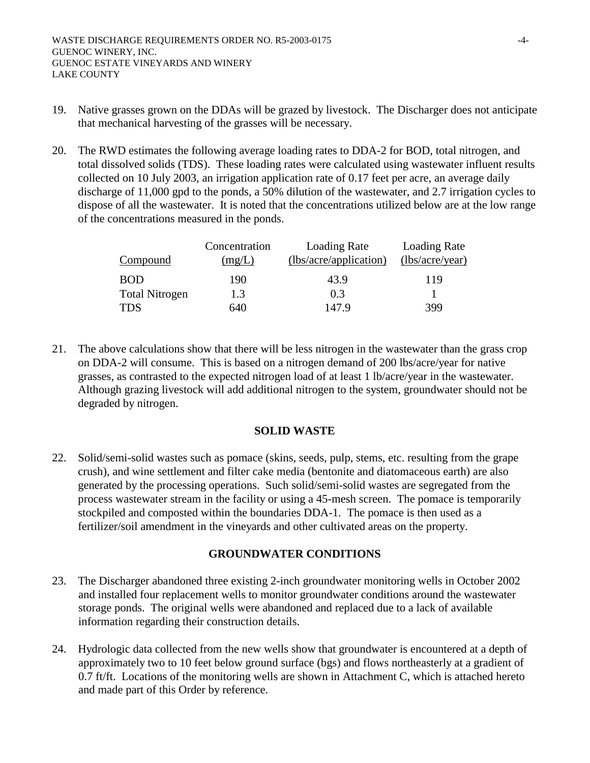- 19. Native grasses grown on the DDAs will be grazed by livestock. The Discharger does not anticipate that mechanical harvesting of the grasses will be necessary.
- 20. The RWD estimates the following average loading rates to DDA-2 for BOD, total nitrogen, and total dissolved solids (TDS). These loading rates were calculated using wastewater influent results collected on 10 July 2003, an irrigation application rate of 0.17 feet per acre, an average daily discharge of 11,000 gpd to the ponds, a 50% dilution of the wastewater, and 2.7 irrigation cycles to dispose of all the wastewater. It is noted that the concentrations utilized below are at the low range of the concentrations measured in the ponds.

| <b>Compound</b>       | Concentration<br>(mg/L) | Loading Rate<br>(lbs/acre/application) | Loading Rate<br>(lbs/acre/year) |
|-----------------------|-------------------------|----------------------------------------|---------------------------------|
| <b>BOD</b>            | 190                     | 43.9                                   | 119                             |
| <b>Total Nitrogen</b> | 1.3                     | 0.3                                    |                                 |
| <b>TDS</b>            | 640                     | 147.9                                  | 399                             |

21. The above calculations show that there will be less nitrogen in the wastewater than the grass crop on DDA-2 will consume. This is based on a nitrogen demand of 200 lbs/acre/year for native grasses, as contrasted to the expected nitrogen load of at least 1 lb/acre/year in the wastewater. Although grazing livestock will add additional nitrogen to the system, groundwater should not be degraded by nitrogen.

### **SOLID WASTE**

22. Solid/semi-solid wastes such as pomace (skins, seeds, pulp, stems, etc. resulting from the grape crush), and wine settlement and filter cake media (bentonite and diatomaceous earth) are also generated by the processing operations. Such solid/semi-solid wastes are segregated from the process wastewater stream in the facility or using a 45-mesh screen. The pomace is temporarily stockpiled and composted within the boundaries DDA-1. The pomace is then used as a fertilizer/soil amendment in the vineyards and other cultivated areas on the property.

## **GROUNDWATER CONDITIONS**

- 23. The Discharger abandoned three existing 2-inch groundwater monitoring wells in October 2002 and installed four replacement wells to monitor groundwater conditions around the wastewater storage ponds. The original wells were abandoned and replaced due to a lack of available information regarding their construction details.
- 24. Hydrologic data collected from the new wells show that groundwater is encountered at a depth of approximately two to 10 feet below ground surface (bgs) and flows northeasterly at a gradient of 0.7 ft/ft. Locations of the monitoring wells are shown in Attachment C, which is attached hereto and made part of this Order by reference.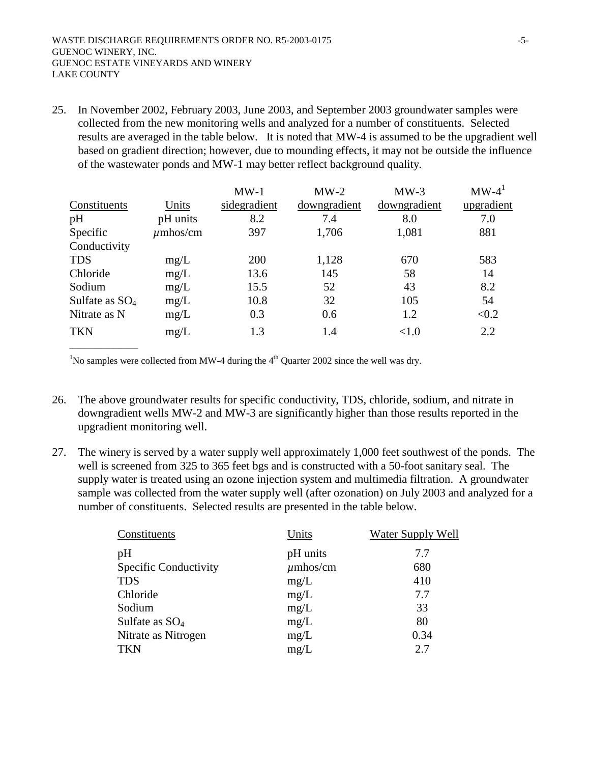25. In November 2002, February 2003, June 2003, and September 2003 groundwater samples were collected from the new monitoring wells and analyzed for a number of constituents. Selected results are averaged in the table below. It is noted that MW-4 is assumed to be the upgradient well based on gradient direction; however, due to mounding effects, it may not be outside the influence of the wastewater ponds and MW-1 may better reflect background quality.

|                   |               | $MW-1$       | $MW-2$       | $MW-3$       | $MW-4^1$   |
|-------------------|---------------|--------------|--------------|--------------|------------|
| Constituents      | Units         | sidegradient | downgradient | downgradient | upgradient |
| pH                | pH units      | 8.2          | 7.4          | 8.0          | 7.0        |
| Specific          | $\mu$ mhos/cm | 397          | 1,706        | 1,081        | 881        |
| Conductivity      |               |              |              |              |            |
| <b>TDS</b>        | mg/L          | 200          | 1,128        | 670          | 583        |
| Chloride          | mg/L          | 13.6         | 145          | 58           | 14         |
| Sodium            | mg/L          | 15.5         | 52           | 43           | 8.2        |
| Sulfate as $SO_4$ | mg/L          | 10.8         | 32           | 105          | 54         |
| Nitrate as N      | mg/L          | 0.3          | 0.6          | 1.2          | < 0.2      |
| <b>TKN</b>        | mg/L          | 1.3          | 1.4          | <1.0         | 2.2        |

<sup>1</sup>No samples were collected from MW-4 during the  $4<sup>th</sup>$  Quarter 2002 since the well was dry.

 $\overline{\phantom{a}}$  , where  $\overline{\phantom{a}}$  , where  $\overline{\phantom{a}}$  ,  $\overline{\phantom{a}}$  ,  $\overline{\phantom{a}}$  ,  $\overline{\phantom{a}}$  ,  $\overline{\phantom{a}}$  ,  $\overline{\phantom{a}}$  ,  $\overline{\phantom{a}}$  ,  $\overline{\phantom{a}}$  ,  $\overline{\phantom{a}}$  ,  $\overline{\phantom{a}}$  ,  $\overline{\phantom{a}}$  ,  $\overline{\phantom{a}}$  ,  $\overline{\phantom{a}}$  ,

- 26. The above groundwater results for specific conductivity, TDS, chloride, sodium, and nitrate in downgradient wells MW-2 and MW-3 are significantly higher than those results reported in the upgradient monitoring well.
- 27. The winery is served by a water supply well approximately 1,000 feet southwest of the ponds. The well is screened from 325 to 365 feet bgs and is constructed with a 50-foot sanitary seal. The supply water is treated using an ozone injection system and multimedia filtration. A groundwater sample was collected from the water supply well (after ozonation) on July 2003 and analyzed for a number of constituents. Selected results are presented in the table below.

| Constituents          | Units         | Water Supply Well |
|-----------------------|---------------|-------------------|
| pH                    | pH units      | 7.7               |
| Specific Conductivity | $\mu$ mhos/cm | 680               |
| <b>TDS</b>            | mg/L          | 410               |
| Chloride              | mg/L          | 7.7               |
| Sodium                | mg/L          | 33                |
| Sulfate as $SO_4$     | mg/L          | 80                |
| Nitrate as Nitrogen   | mg/L          | 0.34              |
| <b>TKN</b>            | mg/L          | 2.7               |
|                       |               |                   |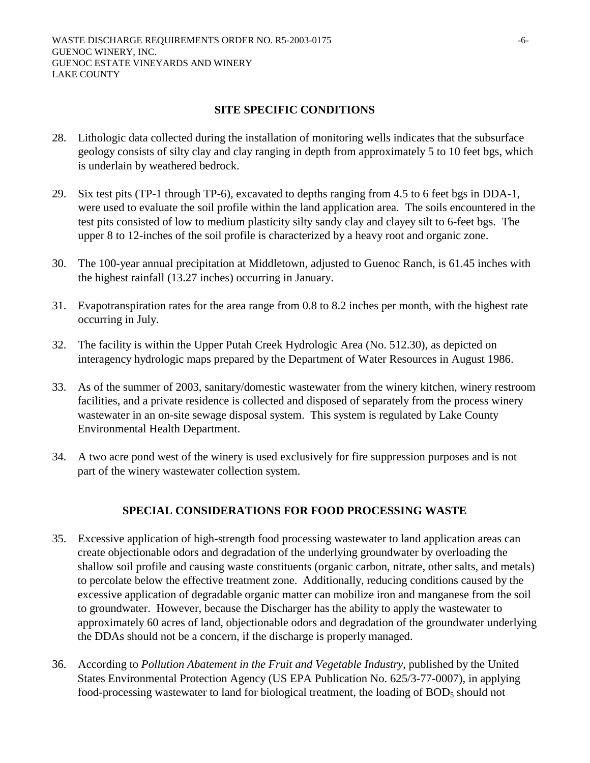### **SITE SPECIFIC CONDITIONS**

- 28. Lithologic data collected during the installation of monitoring wells indicates that the subsurface geology consists of silty clay and clay ranging in depth from approximately 5 to 10 feet bgs, which is underlain by weathered bedrock.
- 29. Six test pits (TP-1 through TP-6), excavated to depths ranging from 4.5 to 6 feet bgs in DDA-1, were used to evaluate the soil profile within the land application area. The soils encountered in the test pits consisted of low to medium plasticity silty sandy clay and clayey silt to 6-feet bgs. The upper 8 to 12-inches of the soil profile is characterized by a heavy root and organic zone.
- 30. The 100-year annual precipitation at Middletown, adjusted to Guenoc Ranch, is 61.45 inches with the highest rainfall (13.27 inches) occurring in January.
- 31. Evapotranspiration rates for the area range from 0.8 to 8.2 inches per month, with the highest rate occurring in July.
- 32. The facility is within the Upper Putah Creek Hydrologic Area (No. 512.30), as depicted on interagency hydrologic maps prepared by the Department of Water Resources in August 1986.
- 33. As of the summer of 2003, sanitary/domestic wastewater from the winery kitchen, winery restroom facilities, and a private residence is collected and disposed of separately from the process winery wastewater in an on-site sewage disposal system. This system is regulated by Lake County Environmental Health Department.
- 34. A two acre pond west of the winery is used exclusively for fire suppression purposes and is not part of the winery wastewater collection system.

### **SPECIAL CONSIDERATIONS FOR FOOD PROCESSING WASTE**

- 35. Excessive application of high-strength food processing wastewater to land application areas can create objectionable odors and degradation of the underlying groundwater by overloading the shallow soil profile and causing waste constituents (organic carbon, nitrate, other salts, and metals) to percolate below the effective treatment zone. Additionally, reducing conditions caused by the excessive application of degradable organic matter can mobilize iron and manganese from the soil to groundwater. However, because the Discharger has the ability to apply the wastewater to approximately 60 acres of land, objectionable odors and degradation of the groundwater underlying the DDAs should not be a concern, if the discharge is properly managed.
- 36. According to *Pollution Abatement in the Fruit and Vegetable Industry*, published by the United States Environmental Protection Agency (US EPA Publication No. 625/3-77-0007), in applying food-processing wastewater to land for biological treatment, the loading of BOD<sub>5</sub> should not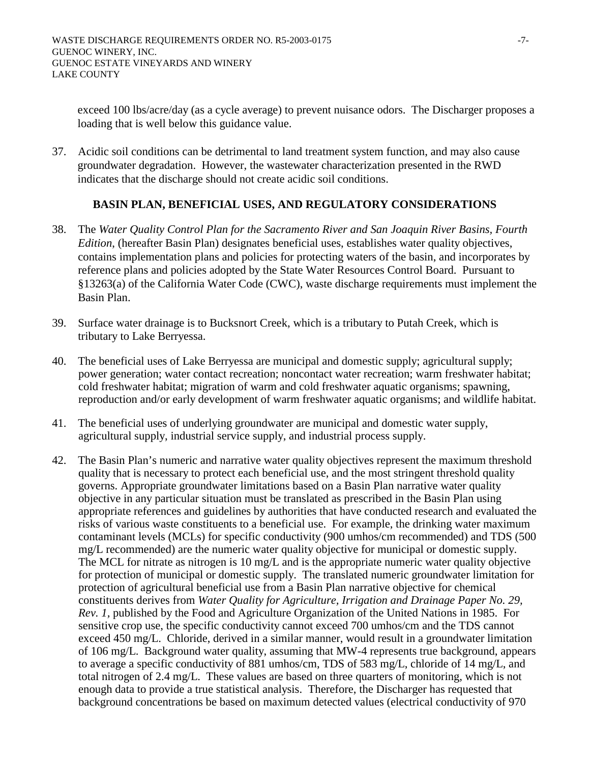exceed 100 lbs/acre/day (as a cycle average) to prevent nuisance odors. The Discharger proposes a loading that is well below this guidance value.

37. Acidic soil conditions can be detrimental to land treatment system function, and may also cause groundwater degradation. However, the wastewater characterization presented in the RWD indicates that the discharge should not create acidic soil conditions.

### **BASIN PLAN, BENEFICIAL USES, AND REGULATORY CONSIDERATIONS**

- 38. The *Water Quality Control Plan for the Sacramento River and San Joaquin River Basins, Fourth Edition*, (hereafter Basin Plan) designates beneficial uses, establishes water quality objectives, contains implementation plans and policies for protecting waters of the basin, and incorporates by reference plans and policies adopted by the State Water Resources Control Board. Pursuant to §13263(a) of the California Water Code (CWC), waste discharge requirements must implement the Basin Plan.
- 39. Surface water drainage is to Bucksnort Creek, which is a tributary to Putah Creek, which is tributary to Lake Berryessa.
- 40. The beneficial uses of Lake Berryessa are municipal and domestic supply; agricultural supply; power generation; water contact recreation; noncontact water recreation; warm freshwater habitat; cold freshwater habitat; migration of warm and cold freshwater aquatic organisms; spawning, reproduction and/or early development of warm freshwater aquatic organisms; and wildlife habitat.
- 41. The beneficial uses of underlying groundwater are municipal and domestic water supply, agricultural supply, industrial service supply, and industrial process supply.
- 42. The Basin Plan's numeric and narrative water quality objectives represent the maximum threshold quality that is necessary to protect each beneficial use, and the most stringent threshold quality governs. Appropriate groundwater limitations based on a Basin Plan narrative water quality objective in any particular situation must be translated as prescribed in the Basin Plan using appropriate references and guidelines by authorities that have conducted research and evaluated the risks of various waste constituents to a beneficial use. For example, the drinking water maximum contaminant levels (MCLs) for specific conductivity (900 umhos/cm recommended) and TDS (500 mg/L recommended) are the numeric water quality objective for municipal or domestic supply. The MCL for nitrate as nitrogen is 10 mg/L and is the appropriate numeric water quality objective for protection of municipal or domestic supply. The translated numeric groundwater limitation for protection of agricultural beneficial use from a Basin Plan narrative objective for chemical constituents derives from *Water Quality for Agriculture, Irrigation and Drainage Paper No. 29, Rev. 1,* published by the Food and Agriculture Organization of the United Nations in 1985. For sensitive crop use, the specific conductivity cannot exceed 700 umhos/cm and the TDS cannot exceed 450 mg/L. Chloride, derived in a similar manner, would result in a groundwater limitation of 106 mg/L. Background water quality, assuming that MW-4 represents true background, appears to average a specific conductivity of 881 umhos/cm, TDS of 583 mg/L, chloride of 14 mg/L, and total nitrogen of 2.4 mg/L. These values are based on three quarters of monitoring, which is not enough data to provide a true statistical analysis. Therefore, the Discharger has requested that background concentrations be based on maximum detected values (electrical conductivity of 970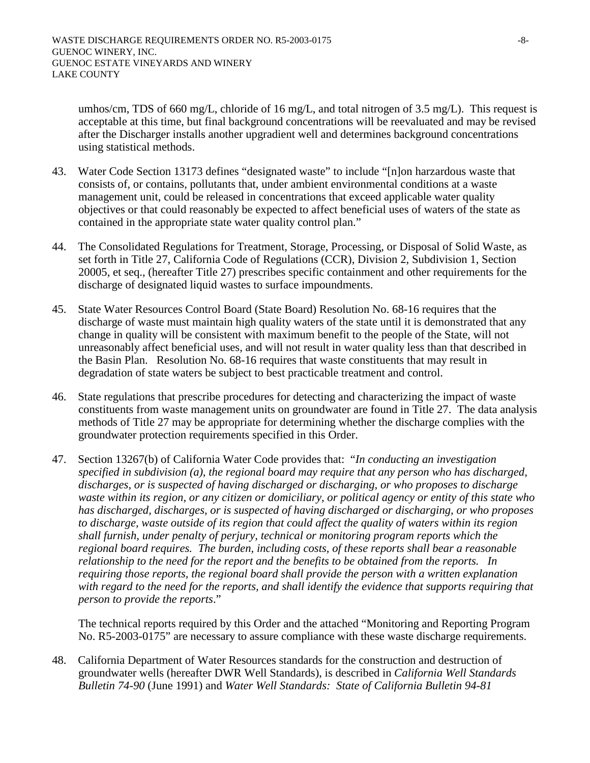umhos/cm, TDS of 660 mg/L, chloride of 16 mg/L, and total nitrogen of 3.5 mg/L). This request is acceptable at this time, but final background concentrations will be reevaluated and may be revised after the Discharger installs another upgradient well and determines background concentrations using statistical methods.

- 43. Water Code Section 13173 defines "designated waste" to include "[n]on harzardous waste that consists of, or contains, pollutants that, under ambient environmental conditions at a waste management unit, could be released in concentrations that exceed applicable water quality objectives or that could reasonably be expected to affect beneficial uses of waters of the state as contained in the appropriate state water quality control plan."
- 44. The Consolidated Regulations for Treatment, Storage, Processing, or Disposal of Solid Waste, as set forth in Title 27, California Code of Regulations (CCR), Division 2, Subdivision 1, Section 20005, et seq., (hereafter Title 27) prescribes specific containment and other requirements for the discharge of designated liquid wastes to surface impoundments.
- 45. State Water Resources Control Board (State Board) Resolution No. 68-16 requires that the discharge of waste must maintain high quality waters of the state until it is demonstrated that any change in quality will be consistent with maximum benefit to the people of the State, will not unreasonably affect beneficial uses, and will not result in water quality less than that described in the Basin Plan. Resolution No. 68-16 requires that waste constituents that may result in degradation of state waters be subject to best practicable treatment and control.
- 46. State regulations that prescribe procedures for detecting and characterizing the impact of waste constituents from waste management units on groundwater are found in Title 27. The data analysis methods of Title 27 may be appropriate for determining whether the discharge complies with the groundwater protection requirements specified in this Order.
- 47. Section 13267(b) of California Water Code provides that: "*In conducting an investigation specified in subdivision (a), the regional board may require that any person who has discharged, discharges, or is suspected of having discharged or discharging, or who proposes to discharge waste within its region, or any citizen or domiciliary, or political agency or entity of this state who has discharged, discharges, or is suspected of having discharged or discharging, or who proposes to discharge, waste outside of its region that could affect the quality of waters within its region shall furnish, under penalty of perjury, technical or monitoring program reports which the regional board requires. The burden, including costs, of these reports shall bear a reasonable relationship to the need for the report and the benefits to be obtained from the reports. In requiring those reports, the regional board shall provide the person with a written explanation with regard to the need for the reports, and shall identify the evidence that supports requiring that person to provide the reports*."

The technical reports required by this Order and the attached "Monitoring and Reporting Program No. R5-2003-0175" are necessary to assure compliance with these waste discharge requirements.

48. California Department of Water Resources standards for the construction and destruction of groundwater wells (hereafter DWR Well Standards), is described in *California Well Standards Bulletin 74-90* (June 1991) and *Water Well Standards: State of California Bulletin 94-81*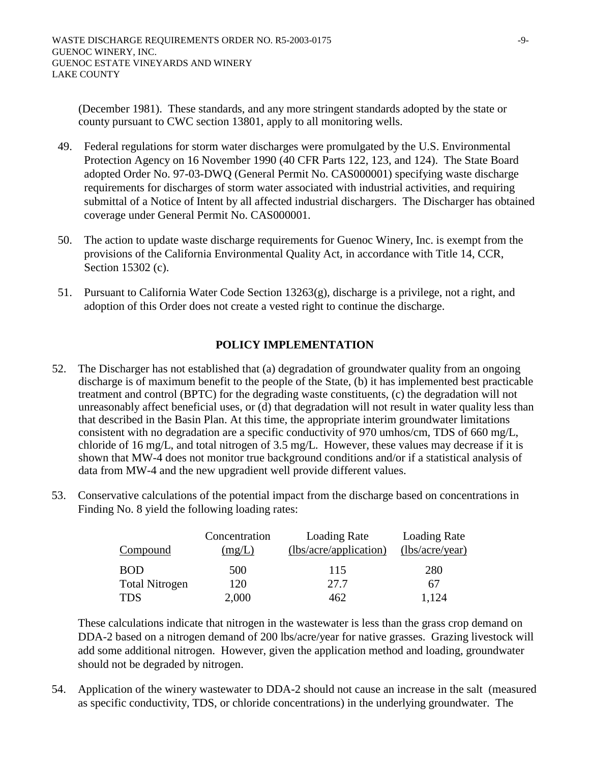(December 1981). These standards, and any more stringent standards adopted by the state or county pursuant to CWC section 13801, apply to all monitoring wells.

- 49. Federal regulations for storm water discharges were promulgated by the U.S. Environmental Protection Agency on 16 November 1990 (40 CFR Parts 122, 123, and 124). The State Board adopted Order No. 97-03-DWQ (General Permit No. CAS000001) specifying waste discharge requirements for discharges of storm water associated with industrial activities, and requiring submittal of a Notice of Intent by all affected industrial dischargers. The Discharger has obtained coverage under General Permit No. CAS000001.
- 50. The action to update waste discharge requirements for Guenoc Winery, Inc. is exempt from the provisions of the California Environmental Quality Act, in accordance with Title 14, CCR, Section 15302 (c).
- 51. Pursuant to California Water Code Section 13263(g), discharge is a privilege, not a right, and adoption of this Order does not create a vested right to continue the discharge.

# **POLICY IMPLEMENTATION**

- 52. The Discharger has not established that (a) degradation of groundwater quality from an ongoing discharge is of maximum benefit to the people of the State, (b) it has implemented best practicable treatment and control (BPTC) for the degrading waste constituents, (c) the degradation will not unreasonably affect beneficial uses, or (d) that degradation will not result in water quality less than that described in the Basin Plan. At this time, the appropriate interim groundwater limitations consistent with no degradation are a specific conductivity of 970 umhos/cm, TDS of 660 mg/L, chloride of 16 mg/L, and total nitrogen of 3.5 mg/L. However, these values may decrease if it is shown that MW-4 does not monitor true background conditions and/or if a statistical analysis of data from MW-4 and the new upgradient well provide different values.
- 53. Conservative calculations of the potential impact from the discharge based on concentrations in Finding No. 8 yield the following loading rates:

|                       | Concentration | Loading Rate           | <b>Loading Rate</b> |
|-----------------------|---------------|------------------------|---------------------|
| Compound              | (mg/L)        | (lbs/acre/application) | (lbs/acre/year)     |
| <b>BOD</b>            | 500           | 115                    | 280                 |
| <b>Total Nitrogen</b> | 120           | 27.7                   | 67                  |
| <b>TDS</b>            | 2,000         | 462                    | 1,124               |

These calculations indicate that nitrogen in the wastewater is less than the grass crop demand on DDA-2 based on a nitrogen demand of 200 lbs/acre/year for native grasses. Grazing livestock will add some additional nitrogen. However, given the application method and loading, groundwater should not be degraded by nitrogen.

54. Application of the winery wastewater to DDA-2 should not cause an increase in the salt (measured as specific conductivity, TDS, or chloride concentrations) in the underlying groundwater. The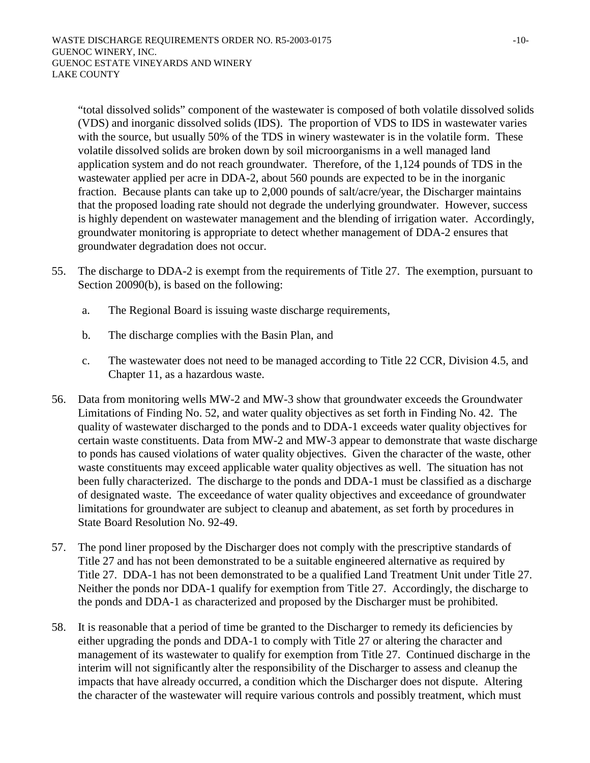"total dissolved solids" component of the wastewater is composed of both volatile dissolved solids (VDS) and inorganic dissolved solids (IDS). The proportion of VDS to IDS in wastewater varies with the source, but usually 50% of the TDS in winery wastewater is in the volatile form. These volatile dissolved solids are broken down by soil microorganisms in a well managed land application system and do not reach groundwater. Therefore, of the 1,124 pounds of TDS in the wastewater applied per acre in DDA-2, about 560 pounds are expected to be in the inorganic fraction. Because plants can take up to 2,000 pounds of salt/acre/year, the Discharger maintains that the proposed loading rate should not degrade the underlying groundwater. However, success is highly dependent on wastewater management and the blending of irrigation water. Accordingly, groundwater monitoring is appropriate to detect whether management of DDA-2 ensures that groundwater degradation does not occur.

- 55. The discharge to DDA-2 is exempt from the requirements of Title 27. The exemption, pursuant to Section 20090(b), is based on the following:
	- a. The Regional Board is issuing waste discharge requirements,
	- b. The discharge complies with the Basin Plan, and
	- c. The wastewater does not need to be managed according to Title 22 CCR, Division 4.5, and Chapter 11, as a hazardous waste.
- 56. Data from monitoring wells MW-2 and MW-3 show that groundwater exceeds the Groundwater Limitations of Finding No. 52, and water quality objectives as set forth in Finding No. 42. The quality of wastewater discharged to the ponds and to DDA-1 exceeds water quality objectives for certain waste constituents. Data from MW-2 and MW-3 appear to demonstrate that waste discharge to ponds has caused violations of water quality objectives. Given the character of the waste, other waste constituents may exceed applicable water quality objectives as well. The situation has not been fully characterized. The discharge to the ponds and DDA-1 must be classified as a discharge of designated waste. The exceedance of water quality objectives and exceedance of groundwater limitations for groundwater are subject to cleanup and abatement, as set forth by procedures in State Board Resolution No. 92-49.
- 57. The pond liner proposed by the Discharger does not comply with the prescriptive standards of Title 27 and has not been demonstrated to be a suitable engineered alternative as required by Title 27. DDA-1 has not been demonstrated to be a qualified Land Treatment Unit under Title 27. Neither the ponds nor DDA-1 qualify for exemption from Title 27. Accordingly, the discharge to the ponds and DDA-1 as characterized and proposed by the Discharger must be prohibited.
- 58. It is reasonable that a period of time be granted to the Discharger to remedy its deficiencies by either upgrading the ponds and DDA-1 to comply with Title 27 or altering the character and management of its wastewater to qualify for exemption from Title 27. Continued discharge in the interim will not significantly alter the responsibility of the Discharger to assess and cleanup the impacts that have already occurred, a condition which the Discharger does not dispute. Altering the character of the wastewater will require various controls and possibly treatment, which must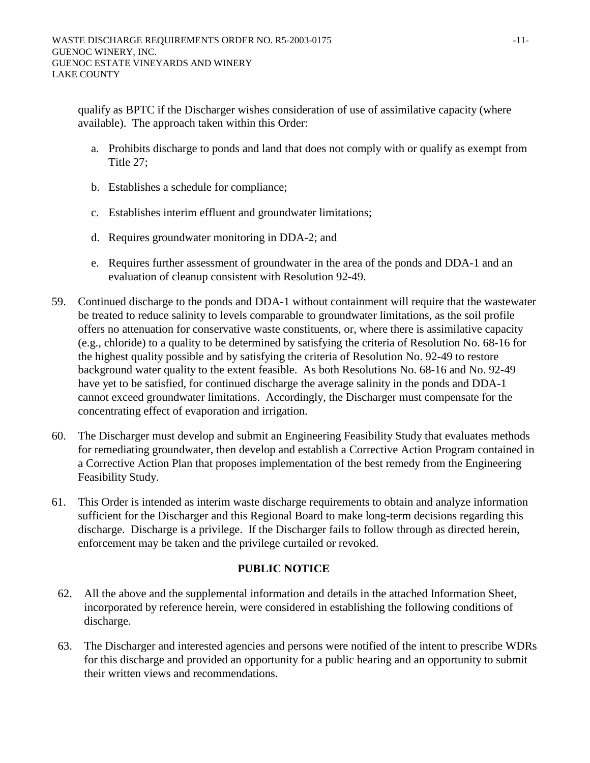qualify as BPTC if the Discharger wishes consideration of use of assimilative capacity (where available). The approach taken within this Order:

- a. Prohibits discharge to ponds and land that does not comply with or qualify as exempt from Title 27;
- b. Establishes a schedule for compliance;
- c. Establishes interim effluent and groundwater limitations;
- d. Requires groundwater monitoring in DDA-2; and
- e. Requires further assessment of groundwater in the area of the ponds and DDA-1 and an evaluation of cleanup consistent with Resolution 92-49.
- 59. Continued discharge to the ponds and DDA-1 without containment will require that the wastewater be treated to reduce salinity to levels comparable to groundwater limitations, as the soil profile offers no attenuation for conservative waste constituents, or, where there is assimilative capacity (e.g., chloride) to a quality to be determined by satisfying the criteria of Resolution No. 68-16 for the highest quality possible and by satisfying the criteria of Resolution No. 92-49 to restore background water quality to the extent feasible. As both Resolutions No. 68-16 and No. 92-49 have yet to be satisfied, for continued discharge the average salinity in the ponds and DDA-1 cannot exceed groundwater limitations. Accordingly, the Discharger must compensate for the concentrating effect of evaporation and irrigation.
- 60. The Discharger must develop and submit an Engineering Feasibility Study that evaluates methods for remediating groundwater, then develop and establish a Corrective Action Program contained in a Corrective Action Plan that proposes implementation of the best remedy from the Engineering Feasibility Study.
- 61. This Order is intended as interim waste discharge requirements to obtain and analyze information sufficient for the Discharger and this Regional Board to make long-term decisions regarding this discharge. Discharge is a privilege. If the Discharger fails to follow through as directed herein, enforcement may be taken and the privilege curtailed or revoked.

## **PUBLIC NOTICE**

- 62. All the above and the supplemental information and details in the attached Information Sheet, incorporated by reference herein, were considered in establishing the following conditions of discharge.
- 63. The Discharger and interested agencies and persons were notified of the intent to prescribe WDRs for this discharge and provided an opportunity for a public hearing and an opportunity to submit their written views and recommendations.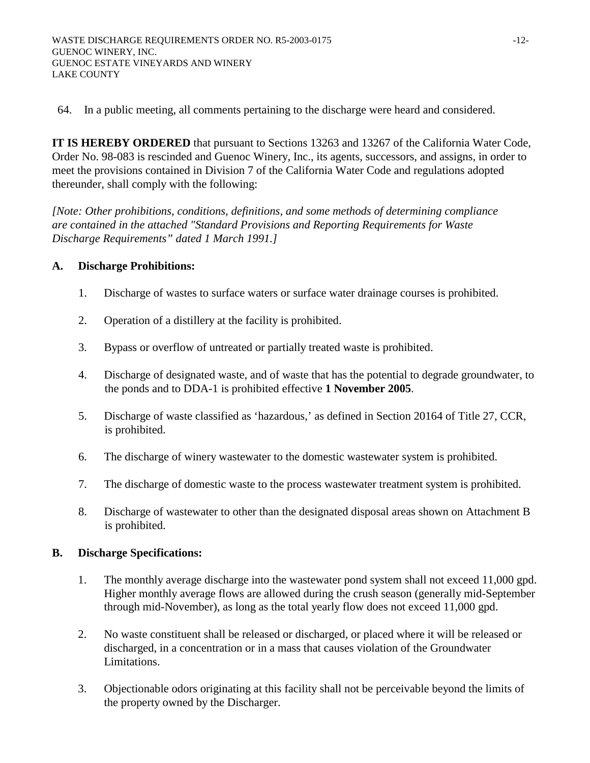64. In a public meeting, all comments pertaining to the discharge were heard and considered.

**IT IS HEREBY ORDERED** that pursuant to Sections 13263 and 13267 of the California Water Code, Order No. 98-083 is rescinded and Guenoc Winery, Inc., its agents, successors, and assigns, in order to meet the provisions contained in Division 7 of the California Water Code and regulations adopted thereunder, shall comply with the following:

*[Note: Other prohibitions, conditions, definitions, and some methods of determining compliance are contained in the attached "Standard Provisions and Reporting Requirements for Waste Discharge Requirements" dated 1 March 1991.]* 

### **A. Discharge Prohibitions:**

- 1. Discharge of wastes to surface waters or surface water drainage courses is prohibited.
- 2. Operation of a distillery at the facility is prohibited.
- 3. Bypass or overflow of untreated or partially treated waste is prohibited.
- 4. Discharge of designated waste, and of waste that has the potential to degrade groundwater, to the ponds and to DDA-1 is prohibited effective **1 November 2005**.
- 5. Discharge of waste classified as 'hazardous,' as defined in Section 20164 of Title 27, CCR, is prohibited.
- 6. The discharge of winery wastewater to the domestic wastewater system is prohibited.
- 7. The discharge of domestic waste to the process wastewater treatment system is prohibited.
- 8. Discharge of wastewater to other than the designated disposal areas shown on Attachment B is prohibited.

### **B. Discharge Specifications:**

- 1. The monthly average discharge into the wastewater pond system shall not exceed 11,000 gpd. Higher monthly average flows are allowed during the crush season (generally mid-September through mid-November), as long as the total yearly flow does not exceed 11,000 gpd.
- 2. No waste constituent shall be released or discharged, or placed where it will be released or discharged, in a concentration or in a mass that causes violation of the Groundwater Limitations.
- 3. Objectionable odors originating at this facility shall not be perceivable beyond the limits of the property owned by the Discharger.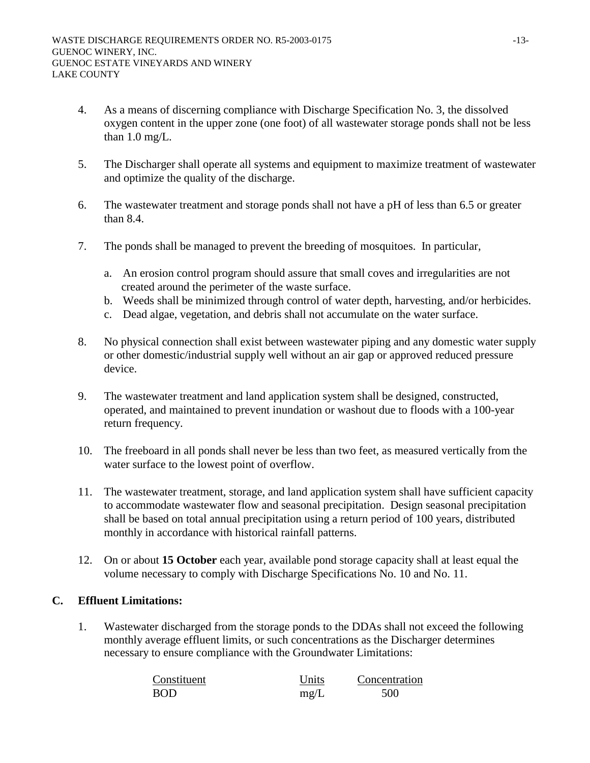- 4. As a means of discerning compliance with Discharge Specification No. 3, the dissolved oxygen content in the upper zone (one foot) of all wastewater storage ponds shall not be less than 1.0 mg/L.
- 5. The Discharger shall operate all systems and equipment to maximize treatment of wastewater and optimize the quality of the discharge.
- 6. The wastewater treatment and storage ponds shall not have a pH of less than 6.5 or greater than 8.4.
- 7. The ponds shall be managed to prevent the breeding of mosquitoes. In particular,
	- a. An erosion control program should assure that small coves and irregularities are not created around the perimeter of the waste surface.
	- b. Weeds shall be minimized through control of water depth, harvesting, and/or herbicides.
	- c. Dead algae, vegetation, and debris shall not accumulate on the water surface.
- 8. No physical connection shall exist between wastewater piping and any domestic water supply or other domestic/industrial supply well without an air gap or approved reduced pressure device.
- 9. The wastewater treatment and land application system shall be designed, constructed, operated, and maintained to prevent inundation or washout due to floods with a 100-year return frequency.
- 10. The freeboard in all ponds shall never be less than two feet, as measured vertically from the water surface to the lowest point of overflow.
- 11. The wastewater treatment, storage, and land application system shall have sufficient capacity to accommodate wastewater flow and seasonal precipitation. Design seasonal precipitation shall be based on total annual precipitation using a return period of 100 years, distributed monthly in accordance with historical rainfall patterns.
- 12. On or about **15 October** each year, available pond storage capacity shall at least equal the volume necessary to comply with Discharge Specifications No. 10 and No. 11.

## **C. Effluent Limitations:**

1. Wastewater discharged from the storage ponds to the DDAs shall not exceed the following monthly average effluent limits, or such concentrations as the Discharger determines necessary to ensure compliance with the Groundwater Limitations:

| Constituent | Units | Concentration |
|-------------|-------|---------------|
| <b>BOD</b>  | mg/L  | 500           |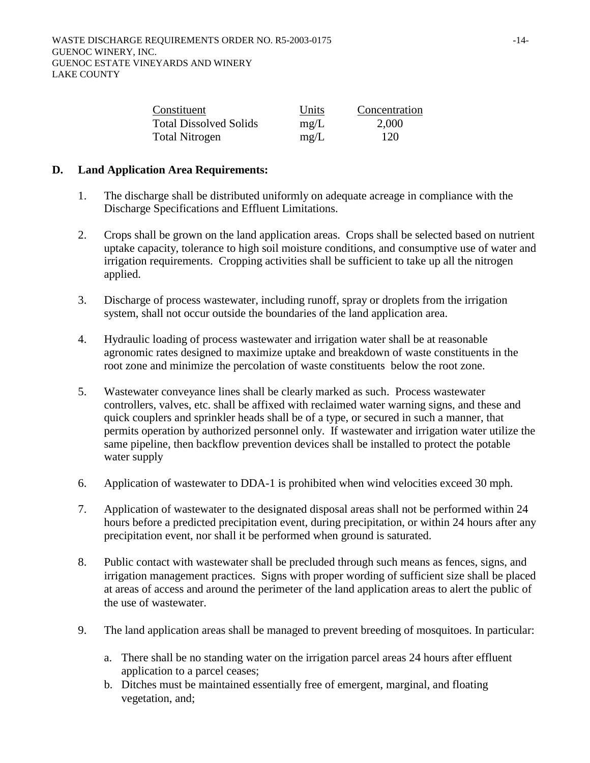| Constituent                   | Units | Concentration |
|-------------------------------|-------|---------------|
| <b>Total Dissolved Solids</b> | mg/L  | 2,000         |
| Total Nitrogen                | mg/L  | 120           |

### **D. Land Application Area Requirements:**

- 1. The discharge shall be distributed uniformly on adequate acreage in compliance with the Discharge Specifications and Effluent Limitations.
- 2. Crops shall be grown on the land application areas. Crops shall be selected based on nutrient uptake capacity, tolerance to high soil moisture conditions, and consumptive use of water and irrigation requirements. Cropping activities shall be sufficient to take up all the nitrogen applied.
- 3. Discharge of process wastewater, including runoff, spray or droplets from the irrigation system, shall not occur outside the boundaries of the land application area.
- 4. Hydraulic loading of process wastewater and irrigation water shall be at reasonable agronomic rates designed to maximize uptake and breakdown of waste constituents in the root zone and minimize the percolation of waste constituents below the root zone.
- 5. Wastewater conveyance lines shall be clearly marked as such. Process wastewater controllers, valves, etc. shall be affixed with reclaimed water warning signs, and these and quick couplers and sprinkler heads shall be of a type, or secured in such a manner, that permits operation by authorized personnel only. If wastewater and irrigation water utilize the same pipeline, then backflow prevention devices shall be installed to protect the potable water supply
- 6. Application of wastewater to DDA-1 is prohibited when wind velocities exceed 30 mph.
- 7. Application of wastewater to the designated disposal areas shall not be performed within 24 hours before a predicted precipitation event, during precipitation, or within 24 hours after any precipitation event, nor shall it be performed when ground is saturated.
- 8. Public contact with wastewater shall be precluded through such means as fences, signs, and irrigation management practices. Signs with proper wording of sufficient size shall be placed at areas of access and around the perimeter of the land application areas to alert the public of the use of wastewater.
- 9. The land application areas shall be managed to prevent breeding of mosquitoes. In particular:
	- a. There shall be no standing water on the irrigation parcel areas 24 hours after effluent application to a parcel ceases;
	- b. Ditches must be maintained essentially free of emergent, marginal, and floating vegetation, and;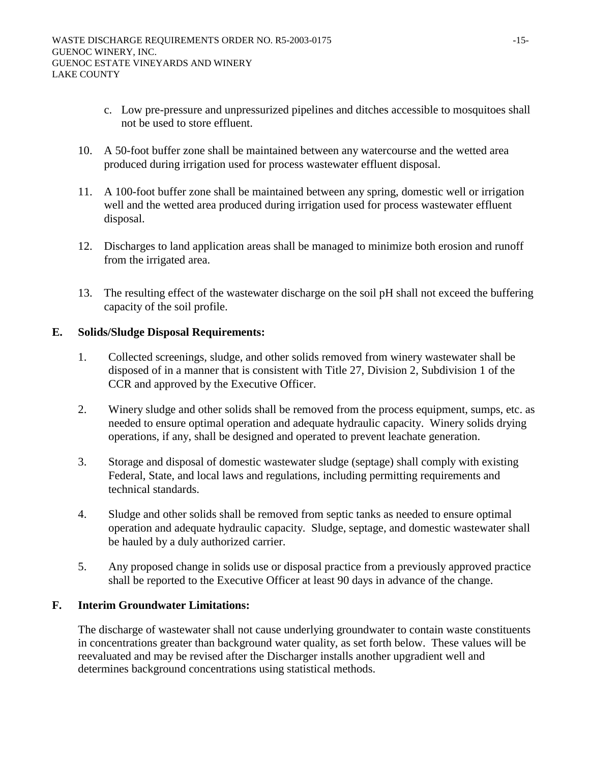- c. Low pre-pressure and unpressurized pipelines and ditches accessible to mosquitoes shall not be used to store effluent.
- 10. A 50-foot buffer zone shall be maintained between any watercourse and the wetted area produced during irrigation used for process wastewater effluent disposal.
- 11. A 100-foot buffer zone shall be maintained between any spring, domestic well or irrigation well and the wetted area produced during irrigation used for process wastewater effluent disposal.
- 12. Discharges to land application areas shall be managed to minimize both erosion and runoff from the irrigated area.
- 13. The resulting effect of the wastewater discharge on the soil pH shall not exceed the buffering capacity of the soil profile.

## **E. Solids/Sludge Disposal Requirements:**

- 1. Collected screenings, sludge, and other solids removed from winery wastewater shall be disposed of in a manner that is consistent with Title 27, Division 2, Subdivision 1 of the CCR and approved by the Executive Officer.
- 2. Winery sludge and other solids shall be removed from the process equipment, sumps, etc. as needed to ensure optimal operation and adequate hydraulic capacity. Winery solids drying operations, if any, shall be designed and operated to prevent leachate generation.
- 3. Storage and disposal of domestic wastewater sludge (septage) shall comply with existing Federal, State, and local laws and regulations, including permitting requirements and technical standards.
- 4. Sludge and other solids shall be removed from septic tanks as needed to ensure optimal operation and adequate hydraulic capacity. Sludge, septage, and domestic wastewater shall be hauled by a duly authorized carrier.
- 5. Any proposed change in solids use or disposal practice from a previously approved practice shall be reported to the Executive Officer at least 90 days in advance of the change.

## **F. Interim Groundwater Limitations:**

The discharge of wastewater shall not cause underlying groundwater to contain waste constituents in concentrations greater than background water quality, as set forth below. These values will be reevaluated and may be revised after the Discharger installs another upgradient well and determines background concentrations using statistical methods.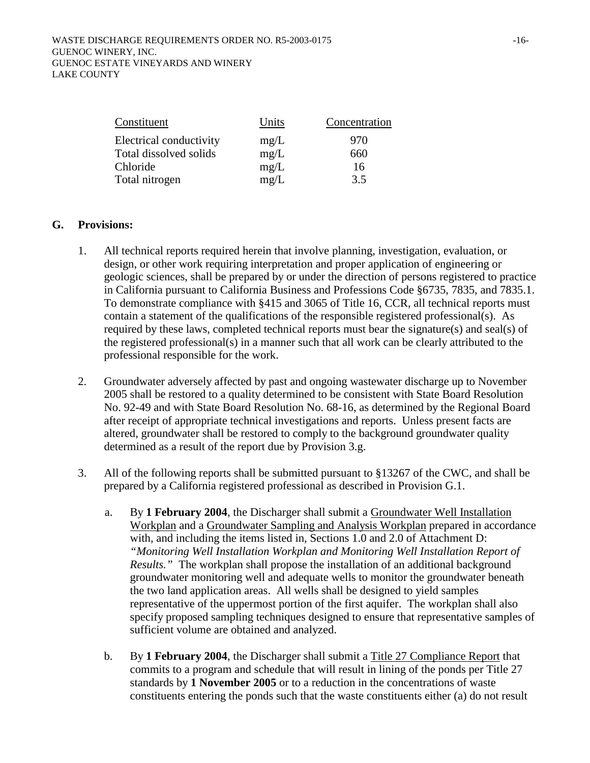| Constituent             | Units | Concentration |
|-------------------------|-------|---------------|
| Electrical conductivity | mg/L  | 970           |
| Total dissolved solids  | mg/L  | 660           |
| Chloride                | mg/L  | 16            |
| Total nitrogen          | mg/L  | 3.5           |

#### **G. Provisions:**

- 1. All technical reports required herein that involve planning, investigation, evaluation, or design, or other work requiring interpretation and proper application of engineering or geologic sciences, shall be prepared by or under the direction of persons registered to practice in California pursuant to California Business and Professions Code §6735, 7835, and 7835.1. To demonstrate compliance with §415 and 3065 of Title 16, CCR, all technical reports must contain a statement of the qualifications of the responsible registered professional(s). As required by these laws, completed technical reports must bear the signature(s) and seal(s) of the registered professional(s) in a manner such that all work can be clearly attributed to the professional responsible for the work.
- 2. Groundwater adversely affected by past and ongoing wastewater discharge up to November 2005 shall be restored to a quality determined to be consistent with State Board Resolution No. 92-49 and with State Board Resolution No. 68-16, as determined by the Regional Board after receipt of appropriate technical investigations and reports. Unless present facts are altered, groundwater shall be restored to comply to the background groundwater quality determined as a result of the report due by Provision 3.g.
- 3. All of the following reports shall be submitted pursuant to §13267 of the CWC, and shall be prepared by a California registered professional as described in Provision G.1.
	- a. By **1 February 2004**, the Discharger shall submit a Groundwater Well Installation Workplan and a Groundwater Sampling and Analysis Workplan prepared in accordance with, and including the items listed in, Sections 1.0 and 2.0 of Attachment D: *"Monitoring Well Installation Workplan and Monitoring Well Installation Report of Results."* The workplan shall propose the installation of an additional background groundwater monitoring well and adequate wells to monitor the groundwater beneath the two land application areas. All wells shall be designed to yield samples representative of the uppermost portion of the first aquifer. The workplan shall also specify proposed sampling techniques designed to ensure that representative samples of sufficient volume are obtained and analyzed.
	- b. By **1 February 2004**, the Discharger shall submit a Title 27 Compliance Report that commits to a program and schedule that will result in lining of the ponds per Title 27 standards by **1 November 2005** or to a reduction in the concentrations of waste constituents entering the ponds such that the waste constituents either (a) do not result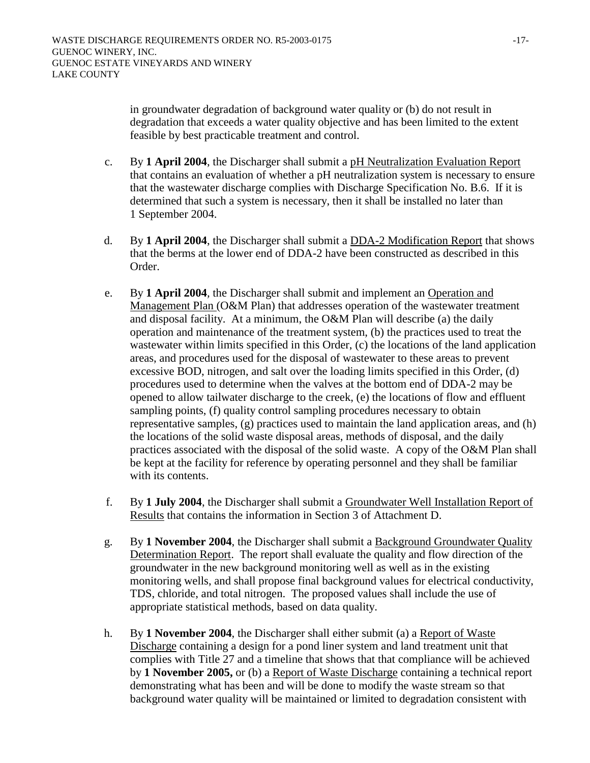in groundwater degradation of background water quality or (b) do not result in degradation that exceeds a water quality objective and has been limited to the extent feasible by best practicable treatment and control.

- c. By **1 April 2004**, the Discharger shall submit a pH Neutralization Evaluation Report that contains an evaluation of whether a pH neutralization system is necessary to ensure that the wastewater discharge complies with Discharge Specification No. B.6. If it is determined that such a system is necessary, then it shall be installed no later than 1 September 2004.
- d. By **1 April 2004**, the Discharger shall submit a DDA-2 Modification Report that shows that the berms at the lower end of DDA-2 have been constructed as described in this Order.
- e. By **1 April 2004***,* the Discharger shall submit and implement an Operation and Management Plan (O&M Plan) that addresses operation of the wastewater treatment and disposal facility. At a minimum, the O&M Plan will describe (a) the daily operation and maintenance of the treatment system, (b) the practices used to treat the wastewater within limits specified in this Order, (c) the locations of the land application areas, and procedures used for the disposal of wastewater to these areas to prevent excessive BOD, nitrogen, and salt over the loading limits specified in this Order, (d) procedures used to determine when the valves at the bottom end of DDA-2 may be opened to allow tailwater discharge to the creek, (e) the locations of flow and effluent sampling points, (f) quality control sampling procedures necessary to obtain representative samples, (g) practices used to maintain the land application areas, and (h) the locations of the solid waste disposal areas, methods of disposal, and the daily practices associated with the disposal of the solid waste. A copy of the O&M Plan shall be kept at the facility for reference by operating personnel and they shall be familiar with its contents.
- f. By **1 July 2004**, the Discharger shall submit a Groundwater Well Installation Report of Results that contains the information in Section 3 of Attachment D.
- g. By **1 November 2004**, the Discharger shall submit a Background Groundwater Quality Determination Report. The report shall evaluate the quality and flow direction of the groundwater in the new background monitoring well as well as in the existing monitoring wells, and shall propose final background values for electrical conductivity, TDS, chloride, and total nitrogen. The proposed values shall include the use of appropriate statistical methods, based on data quality.
- h. By **1 November 2004**, the Discharger shall either submit (a) a Report of Waste Discharge containing a design for a pond liner system and land treatment unit that complies with Title 27 and a timeline that shows that that compliance will be achieved by **1 November 2005,** or (b) a Report of Waste Discharge containing a technical report demonstrating what has been and will be done to modify the waste stream so that background water quality will be maintained or limited to degradation consistent with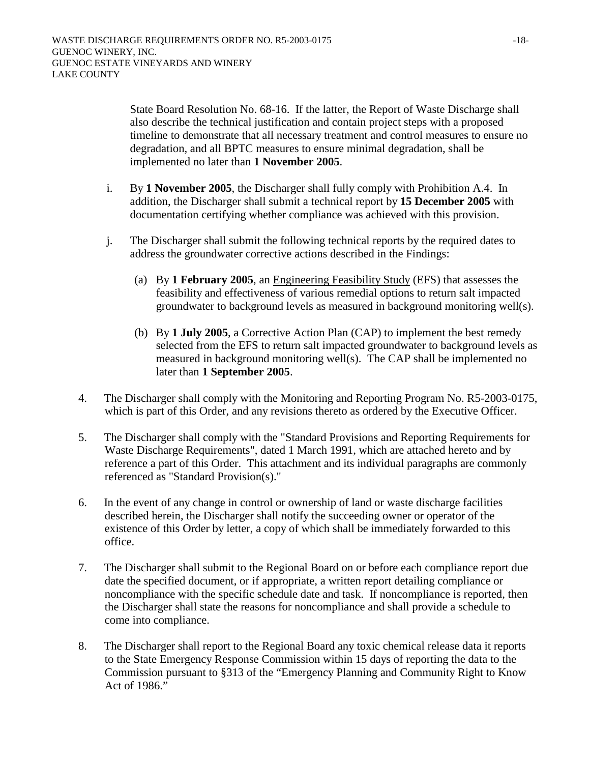State Board Resolution No. 68-16. If the latter, the Report of Waste Discharge shall also describe the technical justification and contain project steps with a proposed timeline to demonstrate that all necessary treatment and control measures to ensure no degradation, and all BPTC measures to ensure minimal degradation, shall be implemented no later than **1 November 2005**.

- i. By **1 November 2005**, the Discharger shall fully comply with Prohibition A.4. In addition, the Discharger shall submit a technical report by **15 December 2005** with documentation certifying whether compliance was achieved with this provision.
- j. The Discharger shall submit the following technical reports by the required dates to address the groundwater corrective actions described in the Findings:
	- (a) By **1 February 2005**, an Engineering Feasibility Study (EFS) that assesses the feasibility and effectiveness of various remedial options to return salt impacted groundwater to background levels as measured in background monitoring well(s).
	- (b) By **1 July 2005**, a Corrective Action Plan (CAP) to implement the best remedy selected from the EFS to return salt impacted groundwater to background levels as measured in background monitoring well(s). The CAP shall be implemented no later than **1 September 2005**.
- 4. The Discharger shall comply with the Monitoring and Reporting Program No. R5-2003-0175, which is part of this Order, and any revisions thereto as ordered by the Executive Officer.
- 5. The Discharger shall comply with the "Standard Provisions and Reporting Requirements for Waste Discharge Requirements", dated 1 March 1991, which are attached hereto and by reference a part of this Order. This attachment and its individual paragraphs are commonly referenced as "Standard Provision(s)."
- 6. In the event of any change in control or ownership of land or waste discharge facilities described herein, the Discharger shall notify the succeeding owner or operator of the existence of this Order by letter, a copy of which shall be immediately forwarded to this office.
- 7. The Discharger shall submit to the Regional Board on or before each compliance report due date the specified document, or if appropriate, a written report detailing compliance or noncompliance with the specific schedule date and task. If noncompliance is reported, then the Discharger shall state the reasons for noncompliance and shall provide a schedule to come into compliance.
- 8. The Discharger shall report to the Regional Board any toxic chemical release data it reports to the State Emergency Response Commission within 15 days of reporting the data to the Commission pursuant to §313 of the "Emergency Planning and Community Right to Know Act of 1986."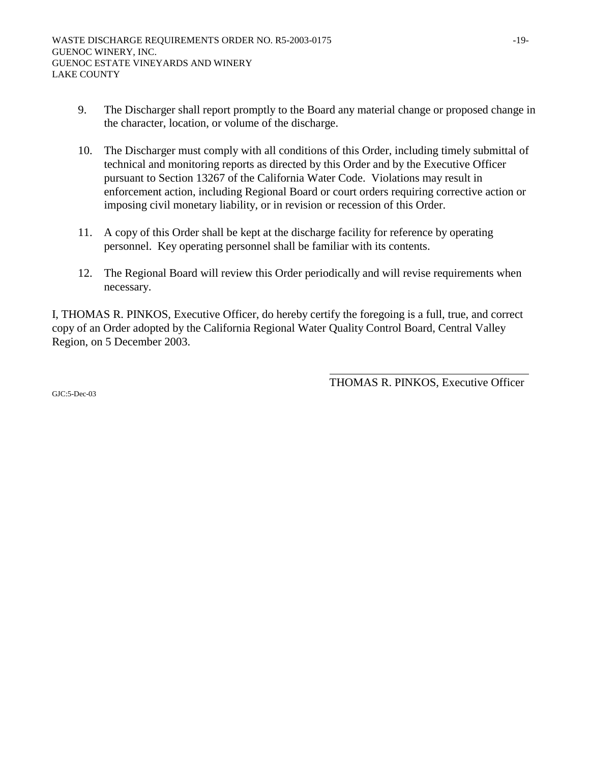- 9. The Discharger shall report promptly to the Board any material change or proposed change in the character, location, or volume of the discharge.
- 10. The Discharger must comply with all conditions of this Order, including timely submittal of technical and monitoring reports as directed by this Order and by the Executive Officer pursuant to Section 13267 of the California Water Code. Violations may result in enforcement action, including Regional Board or court orders requiring corrective action or imposing civil monetary liability, or in revision or recession of this Order.
- 11. A copy of this Order shall be kept at the discharge facility for reference by operating personnel. Key operating personnel shall be familiar with its contents.
- 12. The Regional Board will review this Order periodically and will revise requirements when necessary.

I, THOMAS R. PINKOS, Executive Officer, do hereby certify the foregoing is a full, true, and correct copy of an Order adopted by the California Regional Water Quality Control Board, Central Valley Region, on 5 December 2003.

THOMAS R. PINKOS, Executive Officer

 $GIC:5-Dec-03$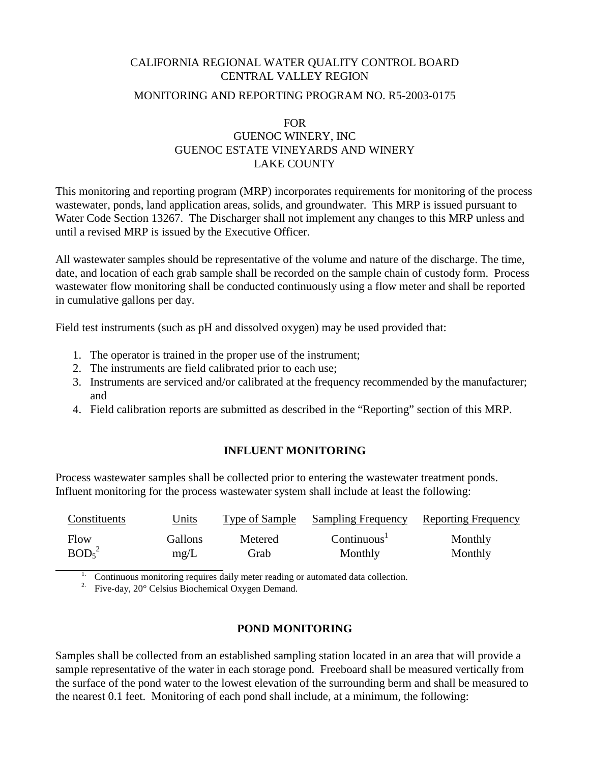## CALIFORNIA REGIONAL WATER QUALITY CONTROL BOARD CENTRAL VALLEY REGION

### MONITORING AND REPORTING PROGRAM NO. R5-2003-0175

## FOR GUENOC WINERY, INC GUENOC ESTATE VINEYARDS AND WINERY LAKE COUNTY

This monitoring and reporting program (MRP) incorporates requirements for monitoring of the process wastewater, ponds, land application areas, solids, and groundwater. This MRP is issued pursuant to Water Code Section 13267. The Discharger shall not implement any changes to this MRP unless and until a revised MRP is issued by the Executive Officer.

All wastewater samples should be representative of the volume and nature of the discharge. The time, date, and location of each grab sample shall be recorded on the sample chain of custody form. Process wastewater flow monitoring shall be conducted continuously using a flow meter and shall be reported in cumulative gallons per day.

Field test instruments (such as pH and dissolved oxygen) may be used provided that:

- 1. The operator is trained in the proper use of the instrument;
- 2. The instruments are field calibrated prior to each use;
- 3. Instruments are serviced and/or calibrated at the frequency recommended by the manufacturer; and
- 4. Field calibration reports are submitted as described in the "Reporting" section of this MRP.

## **INFLUENT MONITORING**

Process wastewater samples shall be collected prior to entering the wastewater treatment ponds. Influent monitoring for the process wastewater system shall include at least the following:

| Constituents                  | Units   | Type of Sample | <b>Sampling Frequency</b> | <b>Reporting Frequency</b> |
|-------------------------------|---------|----------------|---------------------------|----------------------------|
| Flow                          | Gallons | Metered        | Continuous <sup>1</sup>   | Monthly                    |
| BOD <sub>5</sub> <sup>2</sup> | mg/L    | Grab           | Monthly                   | Monthly                    |

1. Continuous monitoring requires daily meter reading or automated data collection.

<sup>2.</sup> Five-day,  $20^{\circ}$  Celsius Biochemical Oxygen Demand.

# **POND MONITORING**

Samples shall be collected from an established sampling station located in an area that will provide a sample representative of the water in each storage pond. Freeboard shall be measured vertically from the surface of the pond water to the lowest elevation of the surrounding berm and shall be measured to the nearest 0.1 feet. Monitoring of each pond shall include, at a minimum, the following: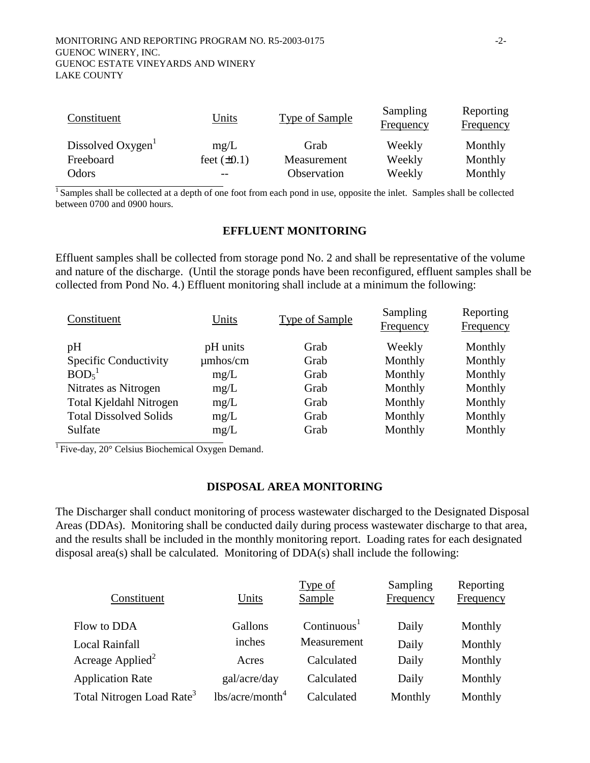| Constituent                   | Units            | <b>Type of Sample</b> | Sampling<br><b>Frequency</b> | Reporting<br><b>Frequency</b> |
|-------------------------------|------------------|-----------------------|------------------------------|-------------------------------|
| Dissolved Oxygen <sup>1</sup> | mg/L             | Grab                  | Weekly                       | Monthly                       |
| Freeboard                     | feet $(\pm 0.1)$ | Measurement           | Weekly                       | Monthly                       |
| Odors                         |                  | Observation           | Weekly                       | Monthly                       |

 $\overline{1}$  Samples shall be collected at a depth of one foot from each pond in use, opposite the inlet. Samples shall be collected between 0700 and 0900 hours.

#### **EFFLUENT MONITORING**

Effluent samples shall be collected from storage pond No. 2 and shall be representative of the volume and nature of the discharge. (Until the storage ponds have been reconfigured, effluent samples shall be collected from Pond No. 4.) Effluent monitoring shall include at a minimum the following:

| Constituent                    | Units         | <b>Type of Sample</b> | Sampling<br><b>Frequency</b> | Reporting<br><b>Frequency</b> |
|--------------------------------|---------------|-----------------------|------------------------------|-------------------------------|
| pH                             | pH units      | Grab                  | Weekly                       | Monthly                       |
| Specific Conductivity          | $\mu$ mhos/cm | Grab                  | Monthly                      | Monthly                       |
| BOD <sub>5</sub>               | mg/L          | Grab                  | Monthly                      | Monthly                       |
| Nitrates as Nitrogen           | mg/L          | Grab                  | Monthly                      | Monthly                       |
| <b>Total Kjeldahl Nitrogen</b> | mg/L          | Grab                  | Monthly                      | Monthly                       |
| <b>Total Dissolved Solids</b>  | mg/L          | Grab                  | Monthly                      | Monthly                       |
| Sulfate                        | mg/L          | Grab                  | Monthly                      | Monthly                       |
|                                |               |                       |                              |                               |

<sup>1</sup> Five-day, 20 $^{\circ}$  Celsius Biochemical Oxygen Demand.

### **DISPOSAL AREA MONITORING**

The Discharger shall conduct monitoring of process wastewater discharged to the Designated Disposal Areas (DDAs). Monitoring shall be conducted daily during process wastewater discharge to that area, and the results shall be included in the monthly monitoring report. Loading rates for each designated disposal area(s) shall be calculated. Monitoring of DDA(s) shall include the following:

|                                       |                    | Type of                 | Sampling  | Reporting |
|---------------------------------------|--------------------|-------------------------|-----------|-----------|
| Constituent                           | Units              | Sample                  | Frequency | Frequency |
| Flow to DDA                           | Gallons            | Continuous <sup>1</sup> | Daily     | Monthly   |
| <b>Local Rainfall</b>                 | inches             | Measurement             | Daily     | Monthly   |
| Acreage Applied <sup>2</sup>          | Acres              | Calculated              | Daily     | Monthly   |
| <b>Application Rate</b>               | gal/acre/day       | Calculated              | Daily     | Monthly   |
| Total Nitrogen Load Rate <sup>3</sup> | $lbs/acre/month^4$ | Calculated              | Monthly   | Monthly   |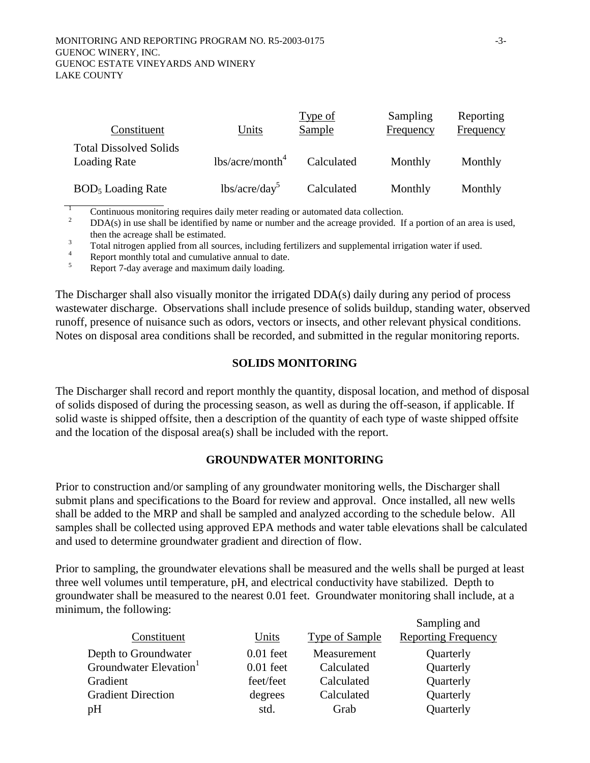| Constituent                                   | Units                       | Type of<br>Sample | Sampling<br>Frequency | Reporting<br>Frequency |
|-----------------------------------------------|-----------------------------|-------------------|-----------------------|------------------------|
| <b>Total Dissolved Solids</b><br>Loading Rate | lbs/acre/month <sup>4</sup> | Calculated        | Monthly               | Monthly                |
| BOD <sub>5</sub> Loading Rate                 | $lbs/acre/day^5$            | Calculated        | Monthly               | Monthly                |

1 Continuous monitoring requires daily meter reading or automated data collection.

 $\mathfrak{Z}$  DDA(s) in use shall be identified by name or number and the acreage provided. If a portion of an area is used, then the acreage shall be estimated.

<sup>3</sup> Total nitrogen applied from all sources, including fertilizers and supplemental irrigation water if used.

Report monthly total and cumulative annual to date.

5 Report 7-day average and maximum daily loading.

The Discharger shall also visually monitor the irrigated DDA(s) daily during any period of process wastewater discharge. Observations shall include presence of solids buildup, standing water, observed runoff, presence of nuisance such as odors, vectors or insects, and other relevant physical conditions. Notes on disposal area conditions shall be recorded, and submitted in the regular monitoring reports.

#### **SOLIDS MONITORING**

The Discharger shall record and report monthly the quantity, disposal location, and method of disposal of solids disposed of during the processing season, as well as during the off-season, if applicable. If solid waste is shipped offsite, then a description of the quantity of each type of waste shipped offsite and the location of the disposal area(s) shall be included with the report.

#### **GROUNDWATER MONITORING**

Prior to construction and/or sampling of any groundwater monitoring wells, the Discharger shall submit plans and specifications to the Board for review and approval. Once installed, all new wells shall be added to the MRP and shall be sampled and analyzed according to the schedule below. All samples shall be collected using approved EPA methods and water table elevations shall be calculated and used to determine groundwater gradient and direction of flow.

Prior to sampling, the groundwater elevations shall be measured and the wells shall be purged at least three well volumes until temperature, pH, and electrical conductivity have stabilized. Depth to groundwater shall be measured to the nearest 0.01 feet. Groundwater monitoring shall include, at a minimum, the following:

|                                    |             |                       | Sampling and               |
|------------------------------------|-------------|-----------------------|----------------------------|
| Constituent                        | Units       | <b>Type of Sample</b> | <b>Reporting Frequency</b> |
| Depth to Groundwater               | $0.01$ feet | Measurement           | Quarterly                  |
| Groundwater Elevation <sup>1</sup> | $0.01$ feet | Calculated            | Quarterly                  |
| Gradient                           | feet/feet   | Calculated            | Quarterly                  |
| <b>Gradient Direction</b>          | degrees     | Calculated            | Quarterly                  |
| pH                                 | std.        | Grab                  | Quarterly                  |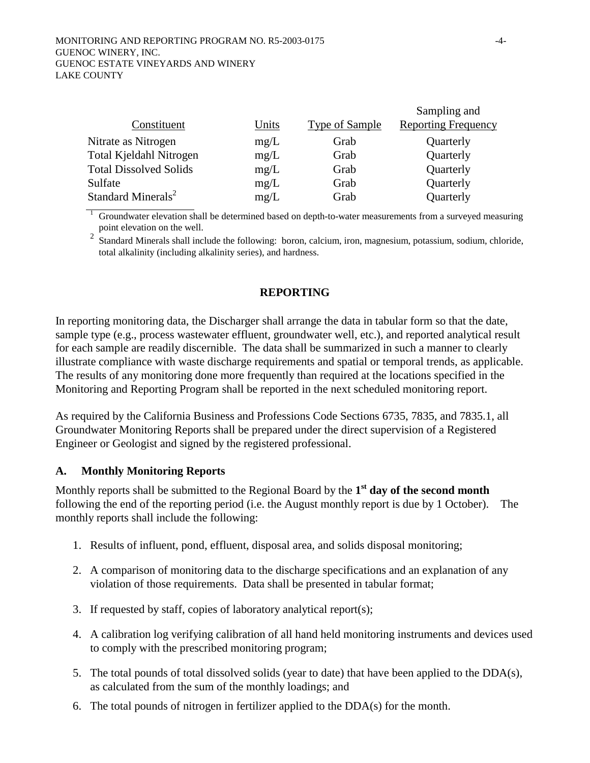|                                |       |                       | Sampling and               |
|--------------------------------|-------|-----------------------|----------------------------|
| Constituent                    | Units | <b>Type of Sample</b> | <b>Reporting Frequency</b> |
| Nitrate as Nitrogen            | mg/L  | Grab                  | Quarterly                  |
| Total Kjeldahl Nitrogen        | mg/L  | Grab                  | Quarterly                  |
| <b>Total Dissolved Solids</b>  | mg/L  | Grab                  | Quarterly                  |
| Sulfate                        | mg/L  | Grab                  | Quarterly                  |
| Standard Minerals <sup>2</sup> | mg/L  | Grab                  | Quarterly                  |

1 Groundwater elevation shall be determined based on depth-to-water measurements from a surveyed measuring point elevation on the well.

<sup>2</sup> Standard Minerals shall include the following: boron, calcium, iron, magnesium, potassium, sodium, chloride, total alkalinity (including alkalinity series), and hardness.

### **REPORTING**

In reporting monitoring data, the Discharger shall arrange the data in tabular form so that the date, sample type (e.g., process wastewater effluent, groundwater well, etc.), and reported analytical result for each sample are readily discernible. The data shall be summarized in such a manner to clearly illustrate compliance with waste discharge requirements and spatial or temporal trends, as applicable. The results of any monitoring done more frequently than required at the locations specified in the Monitoring and Reporting Program shall be reported in the next scheduled monitoring report.

As required by the California Business and Professions Code Sections 6735, 7835, and 7835.1, all Groundwater Monitoring Reports shall be prepared under the direct supervision of a Registered Engineer or Geologist and signed by the registered professional.

### **A. Monthly Monitoring Reports**

Monthly reports shall be submitted to the Regional Board by the **1st day of the second month** following the end of the reporting period (i.e. the August monthly report is due by 1 October). The monthly reports shall include the following:

- 1. Results of influent, pond, effluent, disposal area, and solids disposal monitoring;
- 2. A comparison of monitoring data to the discharge specifications and an explanation of any violation of those requirements. Data shall be presented in tabular format;
- 3. If requested by staff, copies of laboratory analytical report(s);
- 4. A calibration log verifying calibration of all hand held monitoring instruments and devices used to comply with the prescribed monitoring program;
- 5. The total pounds of total dissolved solids (year to date) that have been applied to the DDA(s), as calculated from the sum of the monthly loadings; and
- 6. The total pounds of nitrogen in fertilizer applied to the DDA(s) for the month.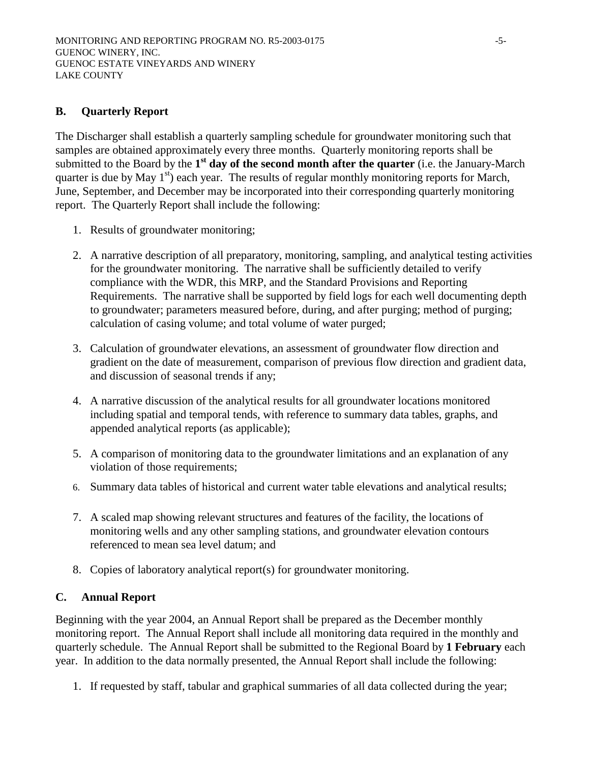# **B. Quarterly Report**

The Discharger shall establish a quarterly sampling schedule for groundwater monitoring such that samples are obtained approximately every three months. Quarterly monitoring reports shall be submitted to the Board by the **1st day of the second month after the quarter** (i.e. the January-March quarter is due by May  $1<sup>st</sup>$ ) each year. The results of regular monthly monitoring reports for March, June, September, and December may be incorporated into their corresponding quarterly monitoring report. The Quarterly Report shall include the following:

- 1. Results of groundwater monitoring;
- 2. A narrative description of all preparatory, monitoring, sampling, and analytical testing activities for the groundwater monitoring. The narrative shall be sufficiently detailed to verify compliance with the WDR, this MRP, and the Standard Provisions and Reporting Requirements. The narrative shall be supported by field logs for each well documenting depth to groundwater; parameters measured before, during, and after purging; method of purging; calculation of casing volume; and total volume of water purged;
- 3. Calculation of groundwater elevations, an assessment of groundwater flow direction and gradient on the date of measurement, comparison of previous flow direction and gradient data, and discussion of seasonal trends if any;
- 4. A narrative discussion of the analytical results for all groundwater locations monitored including spatial and temporal tends, with reference to summary data tables, graphs, and appended analytical reports (as applicable);
- 5. A comparison of monitoring data to the groundwater limitations and an explanation of any violation of those requirements;
- 6. Summary data tables of historical and current water table elevations and analytical results;
- 7. A scaled map showing relevant structures and features of the facility, the locations of monitoring wells and any other sampling stations, and groundwater elevation contours referenced to mean sea level datum; and
- 8. Copies of laboratory analytical report(s) for groundwater monitoring.

## **C. Annual Report**

Beginning with the year 2004, an Annual Report shall be prepared as the December monthly monitoring report. The Annual Report shall include all monitoring data required in the monthly and quarterly schedule. The Annual Report shall be submitted to the Regional Board by **1 February** each year. In addition to the data normally presented, the Annual Report shall include the following:

1. If requested by staff, tabular and graphical summaries of all data collected during the year;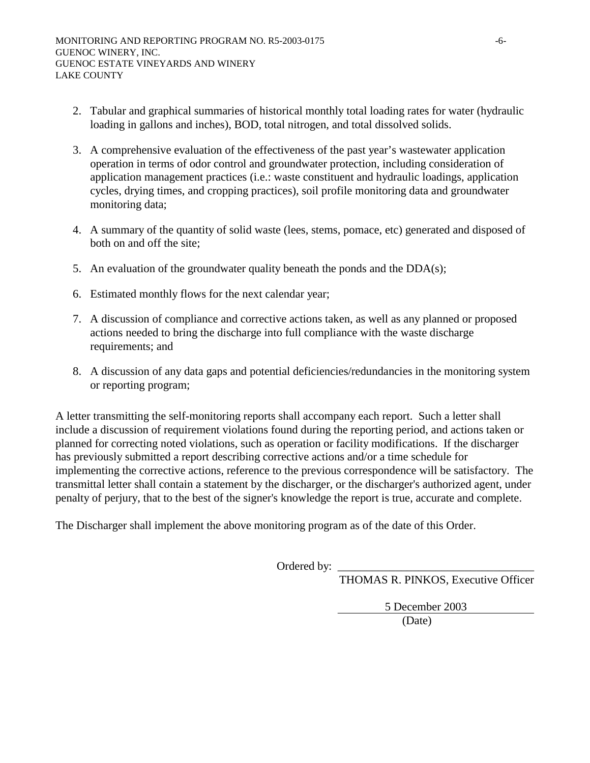- 2. Tabular and graphical summaries of historical monthly total loading rates for water (hydraulic loading in gallons and inches), BOD, total nitrogen, and total dissolved solids.
- 3. A comprehensive evaluation of the effectiveness of the past year's wastewater application operation in terms of odor control and groundwater protection, including consideration of application management practices (i.e.: waste constituent and hydraulic loadings, application cycles, drying times, and cropping practices), soil profile monitoring data and groundwater monitoring data;
- 4. A summary of the quantity of solid waste (lees, stems, pomace, etc) generated and disposed of both on and off the site;
- 5. An evaluation of the groundwater quality beneath the ponds and the DDA(s);
- 6. Estimated monthly flows for the next calendar year;
- 7. A discussion of compliance and corrective actions taken, as well as any planned or proposed actions needed to bring the discharge into full compliance with the waste discharge requirements; and
- 8. A discussion of any data gaps and potential deficiencies/redundancies in the monitoring system or reporting program;

A letter transmitting the self-monitoring reports shall accompany each report. Such a letter shall include a discussion of requirement violations found during the reporting period, and actions taken or planned for correcting noted violations, such as operation or facility modifications. If the discharger has previously submitted a report describing corrective actions and/or a time schedule for implementing the corrective actions, reference to the previous correspondence will be satisfactory. The transmittal letter shall contain a statement by the discharger, or the discharger's authorized agent, under penalty of perjury, that to the best of the signer's knowledge the report is true, accurate and complete.

The Discharger shall implement the above monitoring program as of the date of this Order.

Ordered by:

THOMAS R. PINKOS, Executive Officer

5 December 2003

(Date)